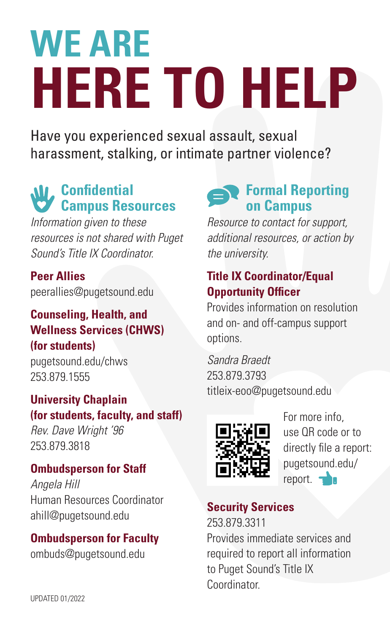# **WE ARE HERE TO HELP**

Have you experienced sexual assault, sexual harassment, stalking, or intimate partner violence?

# *<u>AV</u>*, Confidential **Campus Resources**

*Information given to these resources is not shared with Puget Sound's Title IX Coordinator.*

## **Peer Allies**

peerallies@pugetsound.edu

## **Counseling, Health, and Wellness Services (CHWS) (for students)**

pugetsound.edu/chws 253.879.1555

## **University Chaplain (for students, faculty, and staff)**

*Rev. Dave Wright '96* 253.879.3818

# **Ombudsperson for Staff**

*Angela Hill* Human Resources Coordinator ahill@pugetsound.edu

**Ombudsperson for Faculty** ombuds@pugetsound.edu

# **Formal Reporting on Campus**

*Resource to contact for support, additional resources, or action by the university.* 

## **Title IX Coordinator/Equal Opportunity Officer**

Provides information on resolution and on- and off-campus support options.

*Sandra Braedt* 253.879.3793 titleix-eoo@pugetsound.edu



For more info, use QR code or to directly file a report: pugetsound.edu/ report.  $\rightarrow$ 

## **Security Services**

253.879.3311 Provides immediate services and required to report all information to Puget Sound's Title IX **Coordinator**